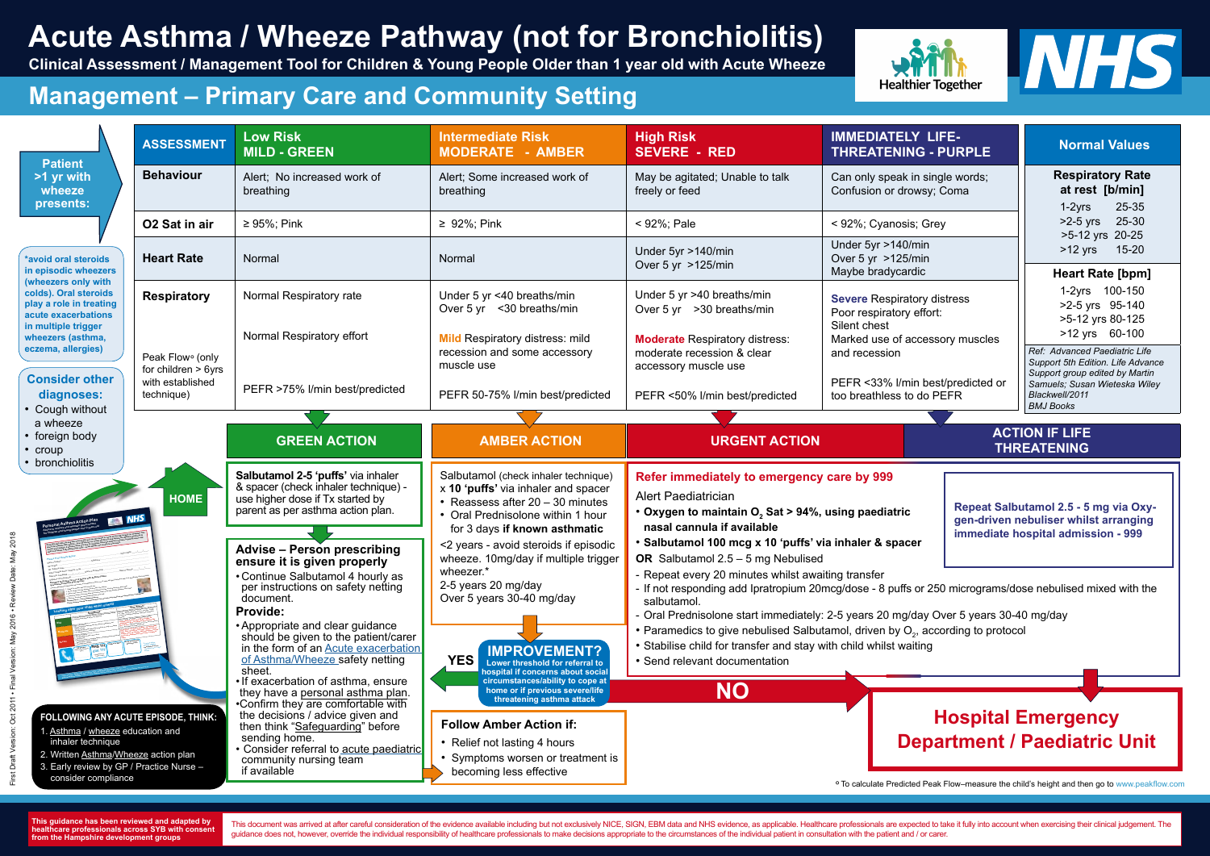**This guidance has been reviewed and adapted by healthcare professionals across SYB with consent from the Hampshire development groups**

This document was arrived at after careful consideration of the evidence available including but not exclusively NICE, SIGN, EBM data and NHS evidence, as applicable. Healthcare professionals are expected to take it fully guidance does not, however, override the individual responsibility of healthcare professionals to make decisions appropriate to the circumstances of the individual patient in consultation with the patient and / or carer.



| <b>Patient</b>                                                                                                                                                                                                                                                             | <b>ASSESSMENT</b>                                                                       | <b>Low Risk</b><br><b>MILD - GREEN</b>                                                                                                                                                                                                                                                                                                                                  | <b>Intermediate Risk</b><br><b>MODERATE - AMBER</b>                                                                                                                                                                                                                                                                                     | <b>High Risk</b><br><b>SEVERE - RED</b>                                                                                                                                                           | <b>IMMEDIATELY LIFE-</b><br><b>THREATENING - PURPLE</b>                                                                                                                                                                                                                                                                                                                                                                                                                                                                                   |                                        | <b>Normal Values</b>                                                                                                                                                                                                                                                                                        |
|----------------------------------------------------------------------------------------------------------------------------------------------------------------------------------------------------------------------------------------------------------------------------|-----------------------------------------------------------------------------------------|-------------------------------------------------------------------------------------------------------------------------------------------------------------------------------------------------------------------------------------------------------------------------------------------------------------------------------------------------------------------------|-----------------------------------------------------------------------------------------------------------------------------------------------------------------------------------------------------------------------------------------------------------------------------------------------------------------------------------------|---------------------------------------------------------------------------------------------------------------------------------------------------------------------------------------------------|-------------------------------------------------------------------------------------------------------------------------------------------------------------------------------------------------------------------------------------------------------------------------------------------------------------------------------------------------------------------------------------------------------------------------------------------------------------------------------------------------------------------------------------------|----------------------------------------|-------------------------------------------------------------------------------------------------------------------------------------------------------------------------------------------------------------------------------------------------------------------------------------------------------------|
| >1 yr with<br>wheeze<br>presents:                                                                                                                                                                                                                                          | <b>Behaviour</b>                                                                        | Alert; No increased work of<br>breathing                                                                                                                                                                                                                                                                                                                                | Alert; Some increased work of<br>breathing                                                                                                                                                                                                                                                                                              | May be agitated; Unable to talk<br>freely or feed                                                                                                                                                 | Can only speak in single words;<br>Confusion or drowsy; Coma                                                                                                                                                                                                                                                                                                                                                                                                                                                                              |                                        | <b>Respiratory Rate</b><br>at rest [b/min]<br>$1-2yrs$<br>25-35                                                                                                                                                                                                                                             |
|                                                                                                                                                                                                                                                                            | O <sub>2</sub> Sat in air                                                               | $\geq 95\%$ ; Pink                                                                                                                                                                                                                                                                                                                                                      | < 92%; Pale<br>< 92%; Cyanosis; Grey<br>$\geq 92\%$ ; Pink                                                                                                                                                                                                                                                                              |                                                                                                                                                                                                   |                                                                                                                                                                                                                                                                                                                                                                                                                                                                                                                                           | $>2-5$ yrs<br>25-30<br>>5-12 yrs 20-25 |                                                                                                                                                                                                                                                                                                             |
| *avoid oral steroids<br>in episodic wheezers<br>(wheezers only with<br>colds). Oral steroids<br>play a role in treating<br>acute exacerbations<br>in multiple trigger<br>wheezers (asthma,<br>eczema, allergies)<br><b>Consider other</b><br>diagnoses:<br>• Cough without | <b>Heart Rate</b>                                                                       | Normal                                                                                                                                                                                                                                                                                                                                                                  | Normal                                                                                                                                                                                                                                                                                                                                  | Under 5yr >140/min<br>Over 5 yr >125/min                                                                                                                                                          | Under 5yr >140/min<br>Over 5 yr >125/min<br>Maybe bradycardic                                                                                                                                                                                                                                                                                                                                                                                                                                                                             |                                        | $15 - 20$<br>$>12$ yrs<br><b>Heart Rate [bpm]</b><br>1-2yrs 100-150<br>>2-5 yrs 95-140<br>>5-12 yrs 80-125<br>>12 yrs 60-100<br>Ref: Advanced Paediatric Life<br>Support 5th Edition. Life Advance<br>Support group edited by Martin<br>Samuels; Susan Wieteska Wiley<br>Blackwell/2011<br><b>BMJ Books</b> |
|                                                                                                                                                                                                                                                                            | <b>Respiratory</b>                                                                      | Normal Respiratory rate                                                                                                                                                                                                                                                                                                                                                 | Under 5 yr <40 breaths/min<br>Over 5 yr < 30 breaths/min                                                                                                                                                                                                                                                                                | Under 5 yr >40 breaths/min<br>Over 5 yr > 30 breaths/min                                                                                                                                          | <b>Severe Respiratory distress</b><br>Poor respiratory effort:<br>Silent chest<br>Marked use of accessory muscles<br>and recession<br>PEFR <33% I/min best/predicted or<br>too breathless to do PEFR                                                                                                                                                                                                                                                                                                                                      |                                        |                                                                                                                                                                                                                                                                                                             |
|                                                                                                                                                                                                                                                                            | Peak Flow <sup>o</sup> (only<br>for children $> 6yrs$<br>with established<br>technique) | Normal Respiratory effort                                                                                                                                                                                                                                                                                                                                               | <b>Mild Respiratory distress: mild</b><br>recession and some accessory<br>muscle use                                                                                                                                                                                                                                                    | <b>Moderate Respiratory distress:</b><br>moderate recession & clear<br>accessory muscle use                                                                                                       |                                                                                                                                                                                                                                                                                                                                                                                                                                                                                                                                           |                                        |                                                                                                                                                                                                                                                                                                             |
|                                                                                                                                                                                                                                                                            |                                                                                         | PEFR >75% I/min best/predicted                                                                                                                                                                                                                                                                                                                                          | PEFR 50-75% I/min best/predicted                                                                                                                                                                                                                                                                                                        | PEFR <50% I/min best/predicted                                                                                                                                                                    |                                                                                                                                                                                                                                                                                                                                                                                                                                                                                                                                           |                                        |                                                                                                                                                                                                                                                                                                             |
| a wheeze                                                                                                                                                                                                                                                                   |                                                                                         |                                                                                                                                                                                                                                                                                                                                                                         |                                                                                                                                                                                                                                                                                                                                         |                                                                                                                                                                                                   |                                                                                                                                                                                                                                                                                                                                                                                                                                                                                                                                           |                                        |                                                                                                                                                                                                                                                                                                             |
| • foreign body<br>• croup<br>• bronchiolitis                                                                                                                                                                                                                               | <b>HOME</b>                                                                             | <b>GREEN ACTION</b>                                                                                                                                                                                                                                                                                                                                                     | <b>AMBER ACTION</b>                                                                                                                                                                                                                                                                                                                     | <b>URGENT ACTION</b>                                                                                                                                                                              |                                                                                                                                                                                                                                                                                                                                                                                                                                                                                                                                           |                                        | <b>ACTION IF LIFE</b><br><b>THREATENING</b>                                                                                                                                                                                                                                                                 |
|                                                                                                                                                                                                                                                                            |                                                                                         | Salbutamol 2-5 'puffs' via inhaler<br>& spacer (check inhaler technique) -<br>use higher dose if Tx started by<br>parent as per asthma action plan.<br><b>Advise - Person prescribing</b><br>ensure it is given properly<br>• Continue Salbutamol 4 hourly as<br>per instructions on safety netting<br>document.<br><b>Provide:</b><br>• Appropriate and clear guidance | Salbutamol (check inhaler technique)<br>x 10 'puffs' via inhaler and spacer<br>• Reassess after 20 - 30 minutes<br>• Oral Prednisolone within 1 hour<br>for 3 days if known asthmatic<br><2 years - avoid steroids if episodic<br>wheeze. 10mg/day if multiple trigger<br>wheezer.*<br>2-5 years 20 mg/day<br>Over 5 years 30-40 mg/day | <b>Alert Paediatrician</b><br>nasal cannula if available<br>OR Salbutamol $2.5 - 5$ mg Nebulised<br>salbutamol.                                                                                   | Refer immediately to emergency care by 999<br>Repeat Salbutamol 2.5 - 5 mg via Oxy-<br>• Oxygen to maintain O, Sat > 94%, using paediatric<br>gen-driven nebuliser whilst arranging<br>immediate hospital admission - 999<br>· Salbutamol 100 mcg x 10 'puffs' via inhaler & spacer<br>Repeat every 20 minutes whilst awaiting transfer<br>- If not responding add Ipratropium 20mcg/dose - 8 puffs or 250 micrograms/dose nebulised mixed with the<br>Oral Prednisolone start immediately: 2-5 years 20 mg/day Over 5 years 30-40 mg/day |                                        |                                                                                                                                                                                                                                                                                                             |
|                                                                                                                                                                                                                                                                            |                                                                                         | should be given to the patient/carer<br>in the form of an Acute exacerbation<br>of Asthma/Wheeze safety netting<br>sheet.<br>If exacerbation of asthma, ensure                                                                                                                                                                                                          | <b>IMPROVEMENT?</b><br><b>YES</b><br>Lower threshold for referral to<br>hospital if concerns about social<br>circumstances/ability to cope at                                                                                                                                                                                           | • Paramedics to give nebulised Salbutamol, driven by O <sub>2</sub> , according to protocol<br>• Stabilise child for transfer and stay with child whilst waiting<br>• Send relevant documentation |                                                                                                                                                                                                                                                                                                                                                                                                                                                                                                                                           |                                        |                                                                                                                                                                                                                                                                                                             |
| FOLLOWING ANY ACUTE EPISODE, THINK:<br>I. Asthma / wheeze education and<br>inhaler technique<br>2. Written Asthma/Wheeze action plan<br>3. Early review by GP / Practice Nurse -<br>consider compliance                                                                    |                                                                                         | they have a personal asthma plan.<br>•Confirm they are comfortable with<br>the decisions / advice given and<br>then think "Safeguarding" before<br>sending home.<br>Consider referral to acute paediatric<br>community nursing team<br>if available                                                                                                                     | home or if previous severe/life<br>threatening asthma attack<br><b>Follow Amber Action if:</b><br>• Relief not lasting 4 hours<br>• Symptoms worsen or treatment is<br>becoming less effective                                                                                                                                          | <b>NO</b>                                                                                                                                                                                         | ° To calculate Predicted Peak Flow-measure the child's height and then go to www.peakflow.com                                                                                                                                                                                                                                                                                                                                                                                                                                             |                                        | <b>Hospital Emergency</b><br><b>Department / Paediatric Unit</b>                                                                                                                                                                                                                                            |

## **Acute Asthma / Wheeze Pathway (not for Bronchiolitis)**

**Clinical Assessment / Management Tool for Children & Young People Older than 1 year old with Acute Wheeze**



### **Management – Primary Care and Community Setting**